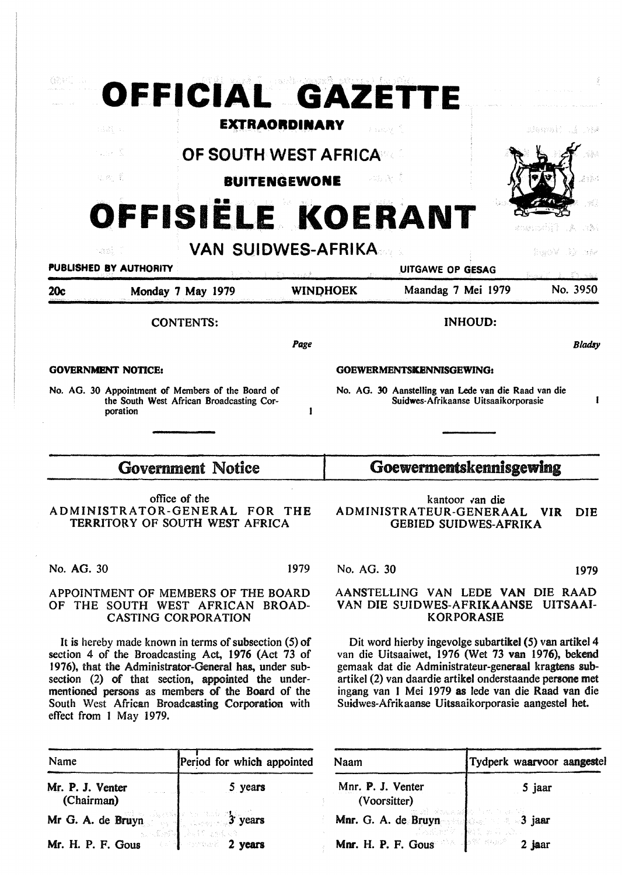|                                  |  | OFFICIAL GAZETTE                                                                                                                                                                                                                                                                                                                    |                 |            |                                                                                                                                                                                                                                                                                                                                               |  |                                     |  |
|----------------------------------|--|-------------------------------------------------------------------------------------------------------------------------------------------------------------------------------------------------------------------------------------------------------------------------------------------------------------------------------------|-----------------|------------|-----------------------------------------------------------------------------------------------------------------------------------------------------------------------------------------------------------------------------------------------------------------------------------------------------------------------------------------------|--|-------------------------------------|--|
| taal, a                          |  | <b>EXTRAORDINARY</b><br>Fasoy f<br>3januait.                                                                                                                                                                                                                                                                                        |                 |            |                                                                                                                                                                                                                                                                                                                                               |  |                                     |  |
| alim A                           |  | OF SOUTH WEST AFRICA                                                                                                                                                                                                                                                                                                                |                 |            |                                                                                                                                                                                                                                                                                                                                               |  |                                     |  |
| 机规 累                             |  | <b>BUITENGEWONE</b>                                                                                                                                                                                                                                                                                                                 |                 |            | 计路径 青                                                                                                                                                                                                                                                                                                                                         |  | 2985                                |  |
| OFFISIËLE KOERANT<br>À<br>그 버렸다. |  |                                                                                                                                                                                                                                                                                                                                     |                 |            |                                                                                                                                                                                                                                                                                                                                               |  |                                     |  |
| -301 -<br>PUBLISHED BY AUTHORITY |  | <b>VAN SUIDWES-AFRIKA</b>                                                                                                                                                                                                                                                                                                           |                 |            | UITGAWE OP GESAG                                                                                                                                                                                                                                                                                                                              |  | - Sir Stêr<br>isaya V<br>私には コード・ビー |  |
| 20c                              |  | Monday 7 May 1979                                                                                                                                                                                                                                                                                                                   | <b>WINDHOEK</b> |            | Maandag 7 Mei 1979                                                                                                                                                                                                                                                                                                                            |  | No. 3950                            |  |
|                                  |  | <b>CONTENTS:</b>                                                                                                                                                                                                                                                                                                                    |                 |            | <b>INHOUD:</b>                                                                                                                                                                                                                                                                                                                                |  |                                     |  |
|                                  |  |                                                                                                                                                                                                                                                                                                                                     | Page            |            |                                                                                                                                                                                                                                                                                                                                               |  | <b>Bladsy</b>                       |  |
| <b>GOVERNMENT NOTICE:</b>        |  |                                                                                                                                                                                                                                                                                                                                     |                 |            | GOEWERMENTSKENNISGEWING:                                                                                                                                                                                                                                                                                                                      |  |                                     |  |
| poration                         |  | No. AG. 30 Appointment of Members of the Board of<br>the South West African Broadcasting Cor-                                                                                                                                                                                                                                       |                 |            | No. AG. 30 Aanstelling van Lede van die Raad van die<br>Suidwes-Afrikaanse Uitsaaikorporasie                                                                                                                                                                                                                                                  |  | I                                   |  |
|                                  |  | <b>Government Notice</b>                                                                                                                                                                                                                                                                                                            |                 |            | Goewermentskennisgewing                                                                                                                                                                                                                                                                                                                       |  |                                     |  |
|                                  |  | office of the<br>ADMINISTRATOR-GENERAL FOR<br>TERRITORY OF SOUTH WEST AFRICA                                                                                                                                                                                                                                                        | <b>THE</b>      |            | kantoor van die<br>ADMINISTRATEUR-GENERAAL<br><b>GEBIED SUIDWES-AFRIKA</b>                                                                                                                                                                                                                                                                    |  | DIE<br>VIR.                         |  |
| No. AG. 30                       |  |                                                                                                                                                                                                                                                                                                                                     | 1979            | No. AG. 30 |                                                                                                                                                                                                                                                                                                                                               |  | 1979                                |  |
|                                  |  | APPOINTMENT OF MEMBERS OF THE BOARD<br>OF THE SOUTH WEST AFRICAN BROAD-<br><b>CASTING CORPORATION</b>                                                                                                                                                                                                                               |                 |            | AANSTELLING VAN LEDE VAN DIE RAAD<br>VAN DIE SUIDWES-AFRIKAANSE UITSAAI-<br><b>KORPORASIE</b>                                                                                                                                                                                                                                                 |  |                                     |  |
| effect from 1 May 1979.          |  | It is hereby made known in terms of subsection $(5)$ of<br>section 4 of the Broadcasting Act, 1976 (Act 73 of<br>1976), that the Administrator-General has, under sub-<br>section (2) of that section, appointed the under-<br>mentioned persons as members of the Board of the<br>South West African Broadcasting Corporation with |                 |            | Dit word hierby ingevolge subartikel (5) van artikel 4<br>van die Uitsaaiwet, 1976 (Wet 73 van 1976), bekend<br>gemaak dat die Administrateur-generaal kragtens sub-<br>artikel (2) van daardie artikel onderstaande persone met<br>ingang van 1 Mei 1979 as lede van die Raad van die<br>Suidwes-Afrikaanse Uitsaaikorporasie aangestel het. |  |                                     |  |

| Name                                                                           | Period for which appointed | Naam                                             | Tydperk waarvoor aangestel<br>5 jaar |  |
|--------------------------------------------------------------------------------|----------------------------|--------------------------------------------------|--------------------------------------|--|
| Mr. P. J. Venter<br>(Chairman)                                                 | 5 years                    | Mnr. P. J. Venter<br>(Voorsitter)                |                                      |  |
| Mr G. A. de Bruyn $\frac{1}{3}$ years<br>Mr. H. P. F. Gous $\frac{1}{3}$ years |                            | Mnr. G. A. de Bruyn<br>Mnr. H. P. F. Gous 2 jaar |                                      |  |
|                                                                                |                            |                                                  |                                      |  |